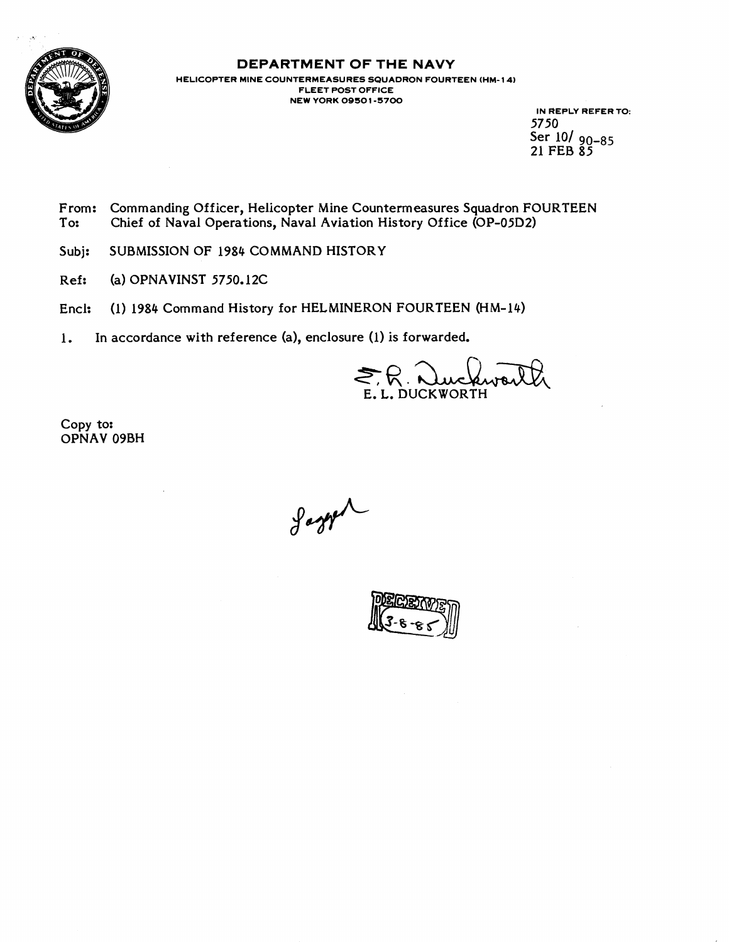

# **DEPARTMENT OF THE NAVY**

**HELICOPTER MINE COUNTERMEASURES SQUADRON FOURTEEN (HM- 14) FLEET POST OFFICE NEW YORK 0950 1-5700** 

**IN REPLY REFER TO:**  5750 Ser 101 **90-85**  21 FEB 85

- From: Commanding Officer, Helicopter Mine Countermeasures Squadron FOURTEEN<br>To: Chief of Naval Operations, Naval Aviation History Office (OP-05D2) Chief of Naval Operations, Naval Aviation History Office (OP-05D2)
- Subj: SUBMISSION OF 1984 COMMAND HISTORY
- Ref: (a) OPNAVINST 5750.12C
- Encl: (1) 1984 Command History for HELMINERON FOURTEEN (HM-14)
- 1. In accordance with reference (a), enclosure (1) is forwarded.

.. DUCKWORTH

Copy to: OPNAV 09BH

Jagger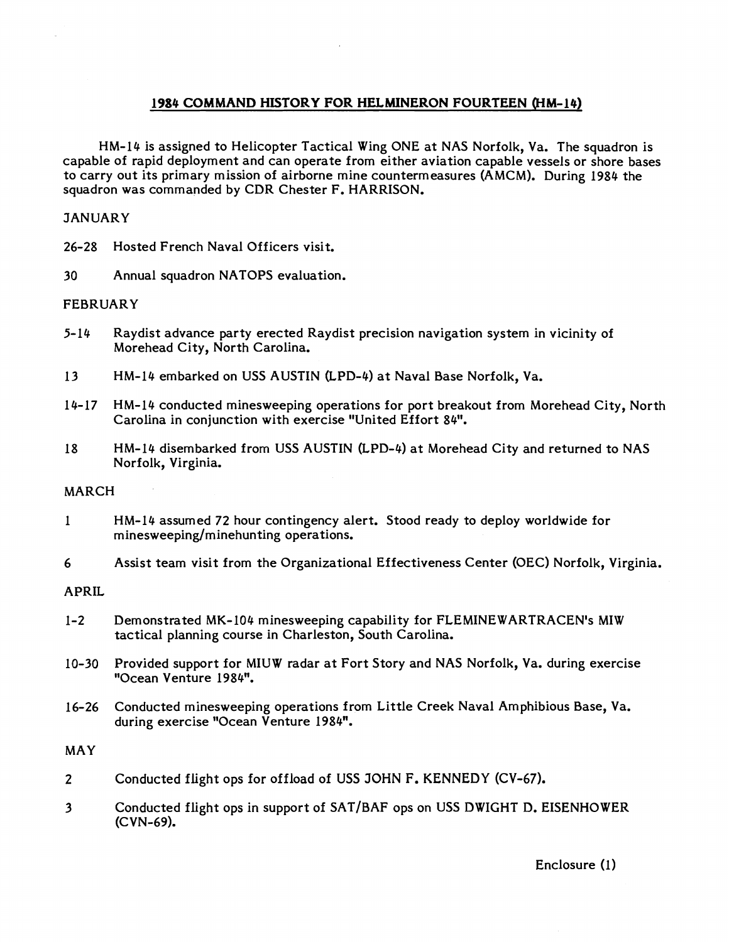# **1984 COMMAND HISTORY FOR HELMINERON FOURTEEN WM-14)**

HM-14 is assigned to Helicopter Tactical Wing ONE at NAS Norfolk, Va. The squadron is capable of rapid deployment and can operate from either aviation capable vessels or shore bases to carry out its primary mission of airborne mine countermeasures (AMCM). During 1984 the squadron was commanded by CDR Chester F. HARRISON.

# **JANUARY**

26-28 Hosted French Naval Officers visit.

30 Annual squadron NATOPS evaluation.

## FEBRUARY

- 5- 14 Raydist advance party erected Raydist precision navigation system in vicinity of Morehead City, North Carolina.
- 13 HM-14 embarked on USS AUSTIN (LPD-4) at Naval Base Norfolk, Va.
- 14- 17 HM-14 conducted minesweeping operations for port breakout from Morehead City, North Carolina in conjunction with exercise "United Effort 84".
- 18 HM-14 disembarked from USS AUSTIN (LPD-4) at Morehead City and returned to NAS Norfolk, Virginia.

## MARCH

- 1 HM-14 assumed 72 hour contingency alert. Stood ready to deploy worldwide for **minesweeping/minehunting** operations.
- 6 Assist team visit from the Organizational Effectiveness Center (OEC) Norfolk, Virginia.

## APRIL

- 1-2 Demonstrated MK-104 minesweeping capability for FLEMINEWARTRACEN's MIW tactical planning course in Charleston, South Carolina.
- 10-30 Provided support for MIUW radar at Fort Story and NAS Norfolk, Va. during exercise "Ocean Venture 1984".
- 16-26 Conducted minesweeping operations from Little Creek Naval Amphibious Base, Va. during exercise "Ocean Venture 1984".

## MAY

- $\overline{2}$ Conducted flight ops for offload of **USS** JOHN F. **KENNEDY** (CV-67).
- $\overline{\mathbf{3}}$ Conducted flight ops in support of SAT/BAF ops on USS DWIGHT D. EISENHOWER (CVN-69).

Enclosure (1)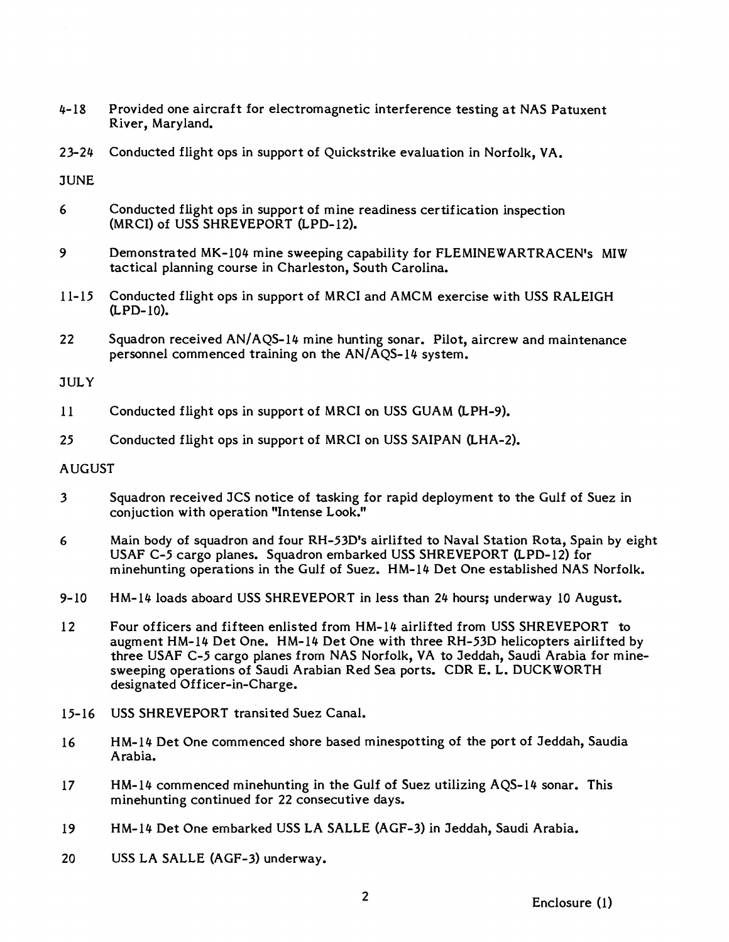- 4-18 Provided one aircraft for electromagnetic interference testing at NAS Patuxent River, Maryland.
- 23-24 Conducted flight ops in support of Quickstrike evaluation in Norfolk, VA.

**JUNE** 

- 6 Conducted flight ops in support of mine readiness certification inspection (MRCI) of USS SHREVEPORT (LPD-12).
- 9 Demonstrated MK-104 mine sweeping capability for FLEMINEWARTRACEN's MIW tactical planning course in Charleston, South Carolina.
- 11-15 Conducted flight ops in support of MRCI and AMCM exercise with USS RALEIGH &PD-10).
- 22 Squadron received AN/AQS-14 mine hunting sonar. Pilot, aircrew and maintenance personnel commenced training on the  $AN/AQS-14$  system.

## **JULY**

- 11 Conducted flight ops in support of MRCI on USS GUAM (LPH-9).
- 25 Conducted flight ops in support of MRCI on USS SAIPAN (LHA-2).

## AUGUST

- 3 Squadron received JCS notice of tasking for rapid deployment to the Gulf of Suez in conjuction with operation "Intense Look."
- **6** Main body of squadron and four RH-53D1s airlifted to Naval Station Rota, Spain by eight USAF C-5 cargo planes. Squadron embarked USS SHREVEPORT (LPD-12) for minehunting operations in the Gulf of Suez. HM-14 Det One established NAS Norfolk.
- 9-10 HM-14 loads aboard USS SHREVEPORT in less than 24 hours; underway 10 August.
- 12 Four officers and fifteen enlisted from HM-14 airlifted from USS SHREVEPORT to augment HM-14 Det One. HM-14 Det One with three RH-53D helicopters airlifted by three USAF C-5 cargo planes from NAS Norfolk, VA to Jeddah, Saudi Arabia for minesweeping operations of Saudi Arabian Red Sea ports. CDR E. L. DUCKWORTH designated Officer-in-Charge.
- 15-16 USS SHREVEPORT transited Suez Canal.
- 16 HM-14 Det One commenced shore based minespotting of the port of Jeddah, Saudia Arabia.
- 17 HM-14 commenced minehunting in the Gulf of Suez utilizing AQS-14 sonar. This minehunting continued for 22 consecutive days.
- 19 HM-14 Det One embarked USS LA SALLE (AGF-3) in Jeddah, Saudi Arabia.
- 20 USS LA SALLE (AGF-3) underway.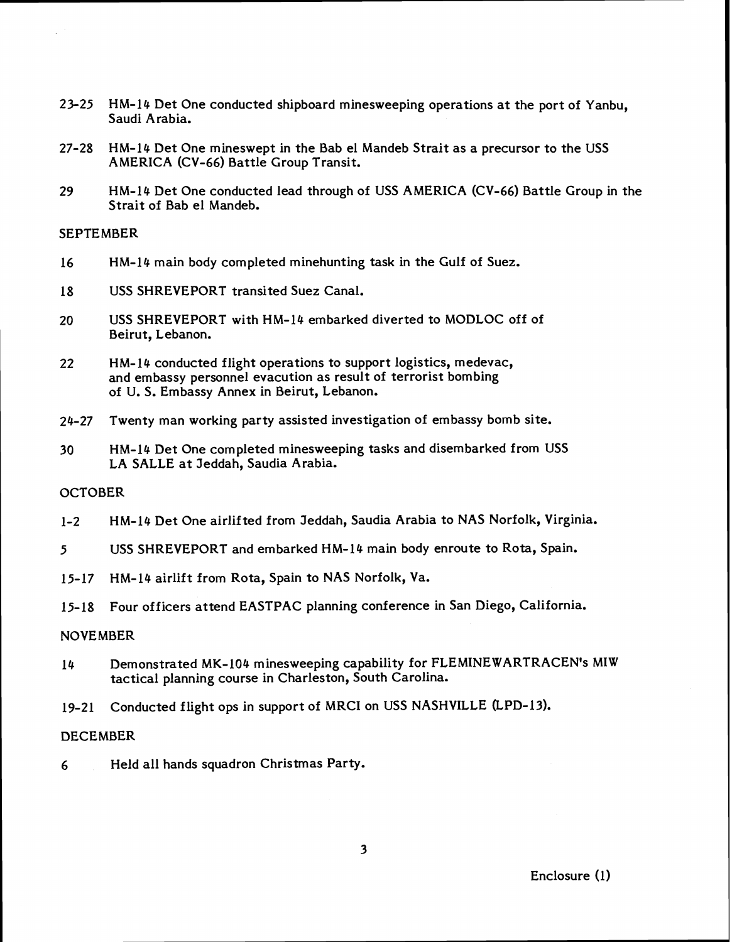- 23-25 HM-14 Det One conducted shipboard minesweeping operations at the port of Yanbu, Saudi Arabia.
- 27-28 HM-14 Det One mineswept in the Bab el Mandeb Strait as a precursor to the USS AMERICA (CV-66) Battle Group Transit.
- 29 HM-14 Det One conducted lead through of USS AMERICA (CV-66) Battle Group in the Strait of Bab el Mandeb.

## **SEPTEMBER**

- 16 HM-14 main body completed minehunting task in the Gulf of Suez.
- 18 USS SHREVEPORT transited Suez Canal.
- 20 USS SHREVEPORT with HM-14 embarked diverted to MODLOC off of Beirut, Lebanon.
- 22 HM-14 conducted flight operations to support logistics, medevac, and embassy personnel evacution as result of terrorist bombing of U. S. Embassy Annex in Beirut, Lebanon.
- 24-27 Twenty man working party assisted investigation of embassy bomb site.
- 3 0 HM-14 Det One completed minesweeping tasks and disembarked from USS LA SALLE at Jeddah, Saudia Arabia.

## **OCTOBER**

- 1-2 HM-14 Det One airlifted from Jeddah, Saudia Arabia to NAS Norfolk, Virginia.
- **5** USS SHREVEPORT and embarked HM-14 main body enroute to Rota, Spain.
- 15-17 HM-14 airlift from Rota, Spain to NAS Norfolk, Va.
- 15- 18 Four officers attend EASTPAC planning conference in San Diego, California.

## NOVEMBER

- 14 Demonstrated MK-104 minesweeping capability for FLEMINEWARTRACEN's MIW tactical planning course in Charleston, South Carolina.
- 19-21 Conducted flight ops in support of MRCI on USS NASHVILLE (LPD-13).

#### **DECEMBER**

*6* Held all hands squadron Christmas Party.

 $\overline{\mathbf{3}}$ 

Enclosure (1)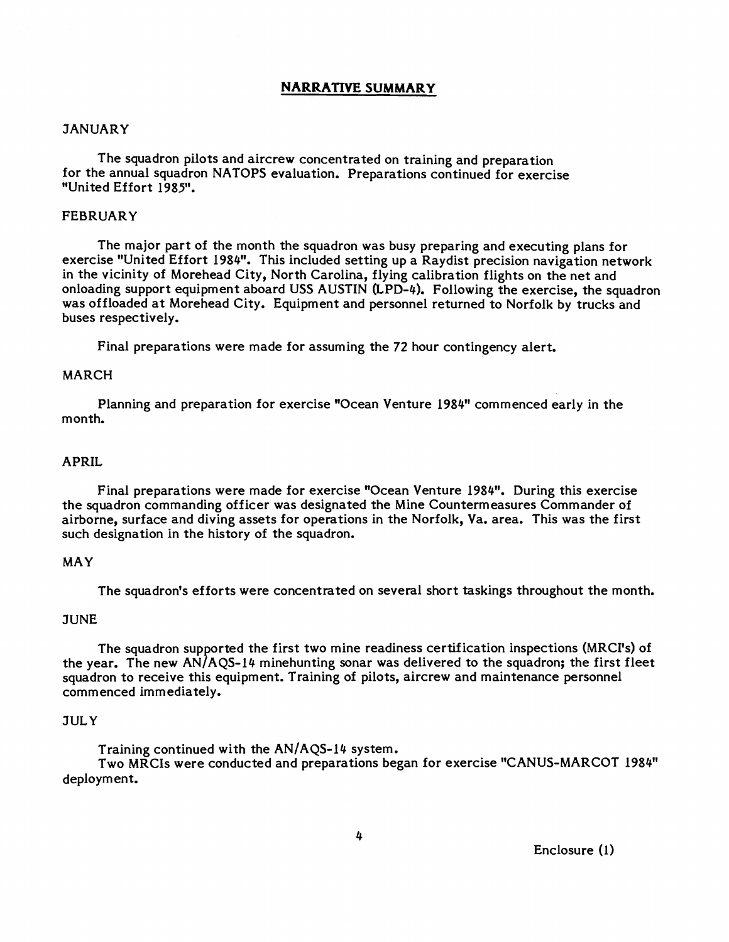## **NARRATIVE SUMMARY**

#### **JANUARY**

The squadron pilots and aircrew concentrated on training and preparation for the annual squadron NATOPS evaluation. Preparations continued for exercise "United Effort 1985".

#### FEBRUARY

The major part of the month the squadron was busy preparing and executing plans for exercise "United Effort 1984". This included setting up a Raydist precision navigation network in the vicinity of Morehead City, North Carolina, flying calibration flights on the net and onloading support equipment aboard USS AUSTIN (LPD-4). Following the exercise, the squadron was offloaded at Morehead City. Equipment and personnel returned to Norfolk by trucks and buses respectively.

Final preparations were made for assuming the 72 hour contingency alert.

## MARCH

Planning and preparation for exercise "Ocean Venture 1984" commenced early in the month.

#### APRIL

Final preparations were made for exercise "Ocean Venture 1984". During this exercise the squadron commanding officer was designated the Mine Countermeasures Commander of airborne, surface and diving assets for operations in the Norfolk, Va. area. This was the first such designation in the history of the squadron.

## MAY

The squadron's efforts were concentrated on several short taskings throughout the month.

## **JUNE**

The squadron supported the first two mine readiness certification inspections (MRCI's) of the year. The new  $AN/AQS-14$  minehunting sonar was delivered to the squadron; the first fleet squadron to receive this equipment. Training of pilots, aircrew and maintenance personnel commenced immediately.

#### **JULY**

Training continued with the  $AN/AQS-14$  system.

Two MRCIs were conducted and preparations began for exercise "CANUS-MARCOT 1984" deployment.